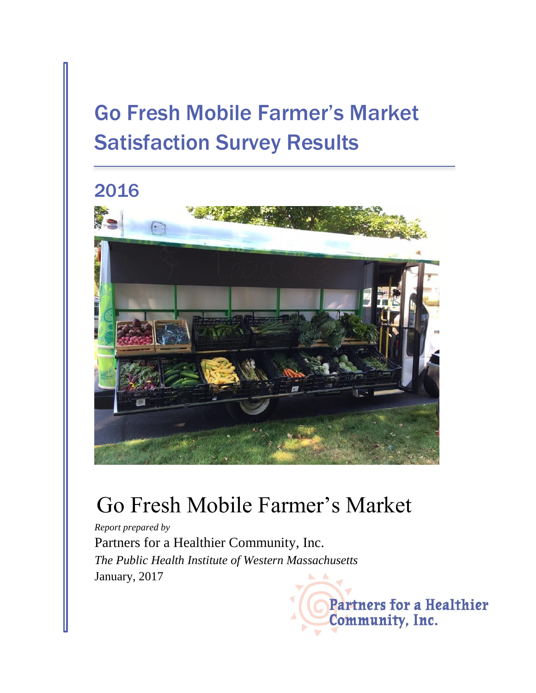# Go Fresh Mobile Farmer's Market Satisfaction Survey Results





## Go Fresh Mobile Farmer's Market

*Report prepared by* Partners for a Healthier Community, Inc. *The Public Health Institute of Western Massachusetts* January, 2017

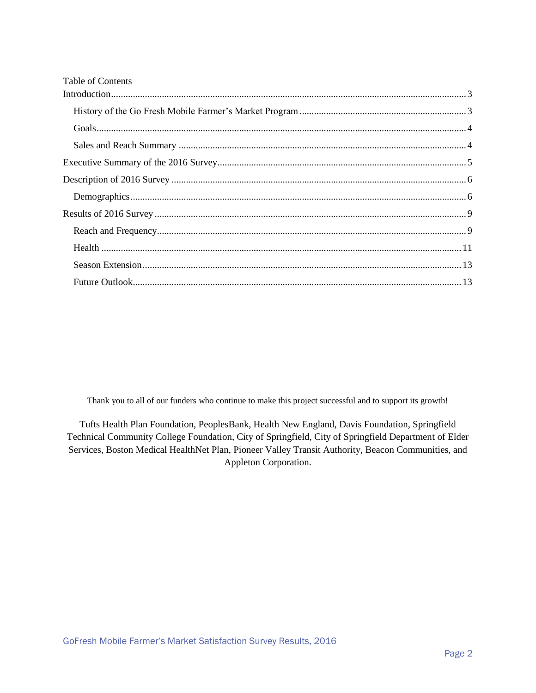| <b>Table of Contents</b> |  |
|--------------------------|--|
|                          |  |
|                          |  |
|                          |  |
|                          |  |
|                          |  |
|                          |  |
|                          |  |
|                          |  |
|                          |  |
|                          |  |
|                          |  |
|                          |  |

Thank you to all of our funders who continue to make this project successful and to support its growth!

Tufts Health Plan Foundation, PeoplesBank, Health New England, Davis Foundation, Springfield Technical Community College Foundation, City of Springfield, City of Springfield Department of Elder Services, Boston Medical HealthNet Plan, Pioneer Valley Transit Authority, Beacon Communities, and Appleton Corporation.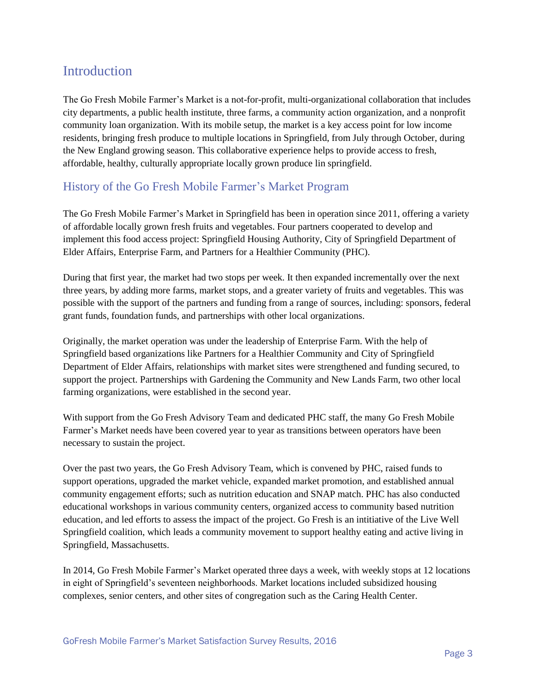## <span id="page-2-0"></span>Introduction

The Go Fresh Mobile Farmer's Market is a not-for-profit, multi-organizational collaboration that includes city departments, a public health institute, three farms, a community action organization, and a nonprofit community loan organization. With its mobile setup, the market is a key access point for low income residents, bringing fresh produce to multiple locations in Springfield, from July through October, during the New England growing season. This collaborative experience helps to provide access to fresh, affordable, healthy, culturally appropriate locally grown produce lin springfield.

### <span id="page-2-1"></span>History of the Go Fresh Mobile Farmer's Market Program

The Go Fresh Mobile Farmer's Market in Springfield has been in operation since 2011, offering a variety of affordable locally grown fresh fruits and vegetables. Four partners cooperated to develop and implement this food access project: Springfield Housing Authority, City of Springfield Department of Elder Affairs, Enterprise Farm, and Partners for a Healthier Community (PHC).

During that first year, the market had two stops per week. It then expanded incrementally over the next three years, by adding more farms, market stops, and a greater variety of fruits and vegetables. This was possible with the support of the partners and funding from a range of sources, including: sponsors, federal grant funds, foundation funds, and partnerships with other local organizations.

Originally, the market operation was under the leadership of Enterprise Farm. With the help of Springfield based organizations like Partners for a Healthier Community and City of Springfield Department of Elder Affairs, relationships with market sites were strengthened and funding secured, to support the project. Partnerships with Gardening the Community and New Lands Farm, two other local farming organizations, were established in the second year.

With support from the Go Fresh Advisory Team and dedicated PHC staff, the many Go Fresh Mobile Farmer's Market needs have been covered year to year as transitions between operators have been necessary to sustain the project.

Over the past two years, the Go Fresh Advisory Team, which is convened by PHC, raised funds to support operations, upgraded the market vehicle, expanded market promotion, and established annual community engagement efforts; such as nutrition education and SNAP match. PHC has also conducted educational workshops in various community centers, organized access to community based nutrition education, and led efforts to assess the impact of the project. Go Fresh is an intitiative of the Live Well Springfield coalition, which leads a community movement to support healthy eating and active living in Springfield, Massachusetts.

In 2014, Go Fresh Mobile Farmer's Market operated three days a week, with weekly stops at 12 locations in eight of Springfield's seventeen neighborhoods. Market locations included subsidized housing complexes, senior centers, and other sites of congregation such as the Caring Health Center.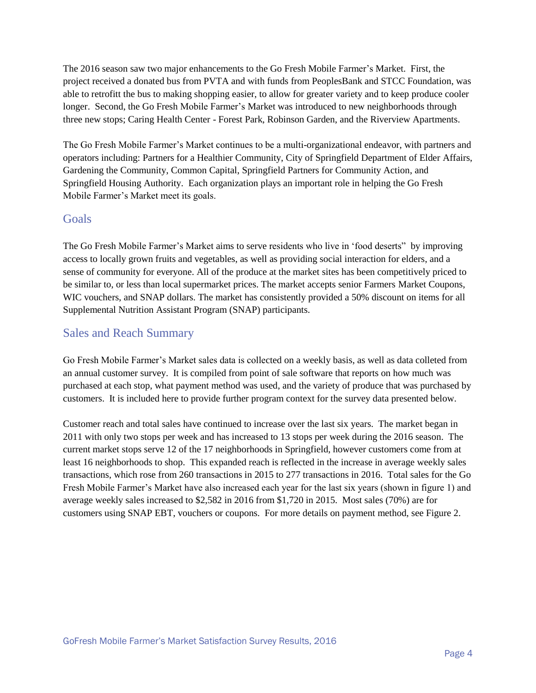The 2016 season saw two major enhancements to the Go Fresh Mobile Farmer's Market. First, the project received a donated bus from PVTA and with funds from PeoplesBank and STCC Foundation, was able to retrofitt the bus to making shopping easier, to allow for greater variety and to keep produce cooler longer. Second, the Go Fresh Mobile Farmer's Market was introduced to new neighborhoods through three new stops; Caring Health Center - Forest Park, Robinson Garden, and the Riverview Apartments.

The Go Fresh Mobile Farmer's Market continues to be a multi-organizational endeavor, with partners and operators including: Partners for a Healthier Community, City of Springfield Department of Elder Affairs, Gardening the Community, Common Capital, Springfield Partners for Community Action, and Springfield Housing Authority. Each organization plays an important role in helping the Go Fresh Mobile Farmer's Market meet its goals.

#### <span id="page-3-0"></span>Goals

The Go Fresh Mobile Farmer's Market aims to serve residents who live in 'food deserts" by improving access to locally grown fruits and vegetables, as well as providing social interaction for elders, and a sense of community for everyone. All of the produce at the market sites has been competitively priced to be similar to, or less than local supermarket prices. The market accepts senior Farmers Market Coupons, WIC vouchers, and SNAP dollars. The market has consistently provided a 50% discount on items for all Supplemental Nutrition Assistant Program (SNAP) participants.

#### <span id="page-3-1"></span>Sales and Reach Summary

Go Fresh Mobile Farmer's Market sales data is collected on a weekly basis, as well as data colleted from an annual customer survey. It is compiled from point of sale software that reports on how much was purchased at each stop, what payment method was used, and the variety of produce that was purchased by customers. It is included here to provide further program context for the survey data presented below.

Customer reach and total sales have continued to increase over the last six years. The market began in 2011 with only two stops per week and has increased to 13 stops per week during the 2016 season. The current market stops serve 12 of the 17 neighborhoods in Springfield, however customers come from at least 16 neighborhoods to shop. This expanded reach is reflected in the increase in average weekly sales transactions, which rose from 260 transactions in 2015 to 277 transactions in 2016. Total sales for the Go Fresh Mobile Farmer's Market have also increased each year for the last six years (shown in figure 1) and average weekly sales increased to \$2,582 in 2016 from \$1,720 in 2015. Most sales (70%) are for customers using SNAP EBT, vouchers or coupons. For more details on payment method, see Figure 2.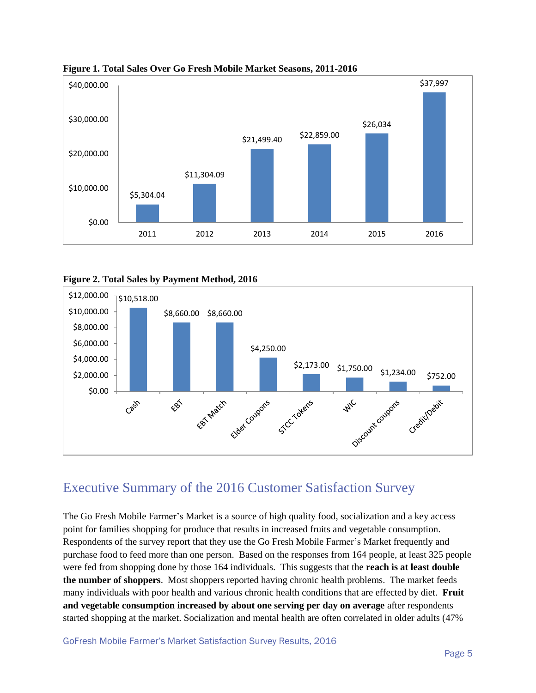

**Figure 1. Total Sales Over Go Fresh Mobile Market Seasons, 2011-2016**





### <span id="page-4-0"></span>Executive Summary of the 2016 Customer Satisfaction Survey

The Go Fresh Mobile Farmer's Market is a source of high quality food, socialization and a key access point for families shopping for produce that results in increased fruits and vegetable consumption. Respondents of the survey report that they use the Go Fresh Mobile Farmer's Market frequently and purchase food to feed more than one person. Based on the responses from 164 people, at least 325 people were fed from shopping done by those 164 individuals. This suggests that the **reach is at least double the number of shoppers**. Most shoppers reported having chronic health problems. The market feeds many individuals with poor health and various chronic health conditions that are effected by diet. **Fruit and vegetable consumption increased by about one serving per day on average** after respondents started shopping at the market. Socialization and mental health are often correlated in older adults (47%

GoFresh Mobile Farmer's Market Satisfaction Survey Results, 2016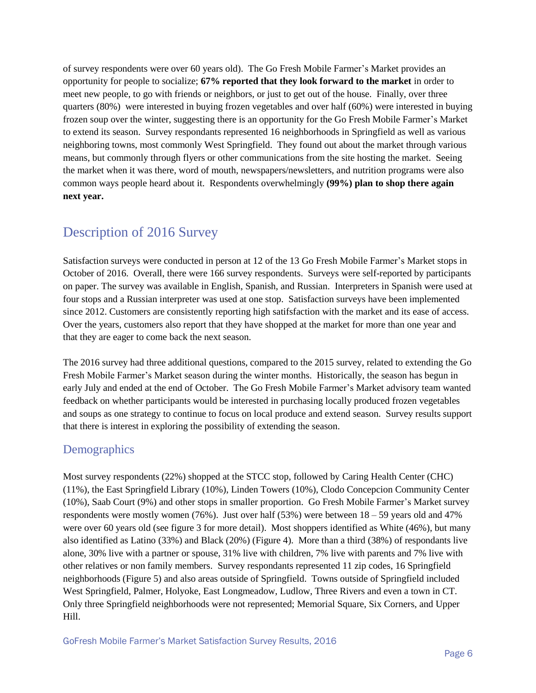of survey respondents were over 60 years old). The Go Fresh Mobile Farmer's Market provides an opportunity for people to socialize; **67% reported that they look forward to the market** in order to meet new people, to go with friends or neighbors, or just to get out of the house. Finally, over three quarters (80%) were interested in buying frozen vegetables and over half (60%) were interested in buying frozen soup over the winter, suggesting there is an opportunity for the Go Fresh Mobile Farmer's Market to extend its season. Survey respondants represented 16 neighborhoods in Springfield as well as various neighboring towns, most commonly West Springfield. They found out about the market through various means, but commonly through flyers or other communications from the site hosting the market. Seeing the market when it was there, word of mouth, newspapers/newsletters, and nutrition programs were also common ways people heard about it. Respondents overwhelmingly **(99%) plan to shop there again next year.**

## <span id="page-5-0"></span>Description of 2016 Survey

Satisfaction surveys were conducted in person at 12 of the 13 Go Fresh Mobile Farmer's Market stops in October of 2016. Overall, there were 166 survey respondents. Surveys were self-reported by participants on paper. The survey was available in English, Spanish, and Russian. Interpreters in Spanish were used at four stops and a Russian interpreter was used at one stop. Satisfaction surveys have been implemented since 2012. Customers are consistently reporting high satifsfaction with the market and its ease of access. Over the years, customers also report that they have shopped at the market for more than one year and that they are eager to come back the next season.

The 2016 survey had three additional questions, compared to the 2015 survey, related to extending the Go Fresh Mobile Farmer's Market season during the winter months. Historically, the season has begun in early July and ended at the end of October. The Go Fresh Mobile Farmer's Market advisory team wanted feedback on whether participants would be interested in purchasing locally produced frozen vegetables and soups as one strategy to continue to focus on local produce and extend season. Survey results support that there is interest in exploring the possibility of extending the season.

#### <span id="page-5-1"></span>**Demographics**

Most survey respondents (22%) shopped at the STCC stop, followed by Caring Health Center (CHC) (11%), the East Springfield Library (10%), Linden Towers (10%), Clodo Concepcion Community Center (10%), Saab Court (9%) and other stops in smaller proportion. Go Fresh Mobile Farmer's Market survey respondents were mostly women  $(76%)$ . Just over half  $(53%)$  were between  $18 - 59$  years old and 47% were over 60 years old (see figure 3 for more detail). Most shoppers identified as White (46%), but many also identified as Latino (33%) and Black (20%) (Figure 4). More than a third (38%) of respondants live alone, 30% live with a partner or spouse, 31% live with children, 7% live with parents and 7% live with other relatives or non family members. Survey respondants represented 11 zip codes, 16 Springfield neighborhoods (Figure 5) and also areas outside of Springfield. Towns outside of Springfield included West Springfield, Palmer, Holyoke, East Longmeadow, Ludlow, Three Rivers and even a town in CT. Only three Springfield neighborhoods were not represented; Memorial Square, Six Corners, and Upper Hill.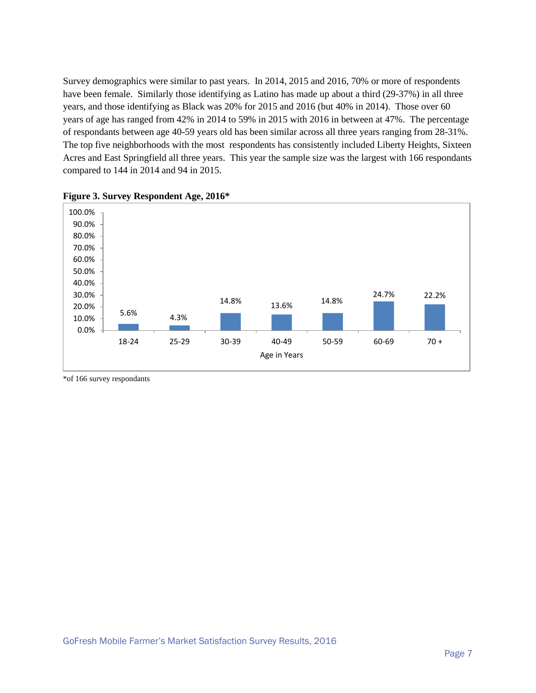Survey demographics were similar to past years. In 2014, 2015 and 2016, 70% or more of respondents have been female. Similarly those identifying as Latino has made up about a third (29-37%) in all three years, and those identifying as Black was 20% for 2015 and 2016 (but 40% in 2014). Those over 60 years of age has ranged from 42% in 2014 to 59% in 2015 with 2016 in between at 47%. The percentage of respondants between age 40-59 years old has been similar across all three years ranging from 28-31%. The top five neighborhoods with the most respondents has consistently included Liberty Heights, Sixteen Acres and East Springfield all three years. This year the sample size was the largest with 166 respondants compared to 144 in 2014 and 94 in 2015.





\*of 166 survey respondants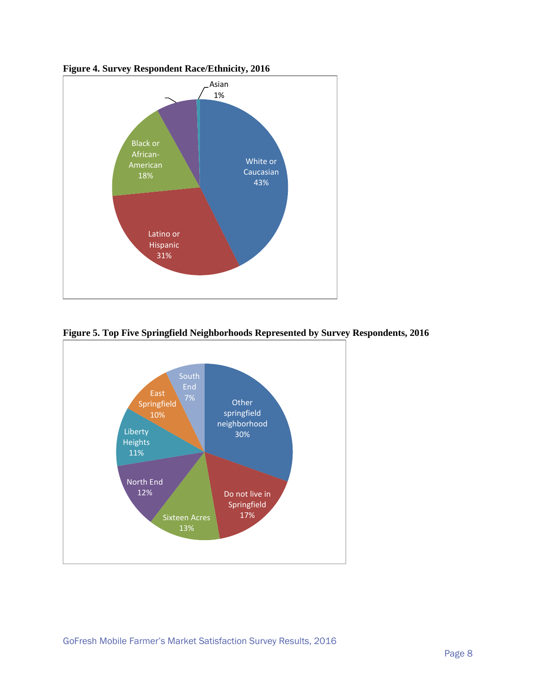



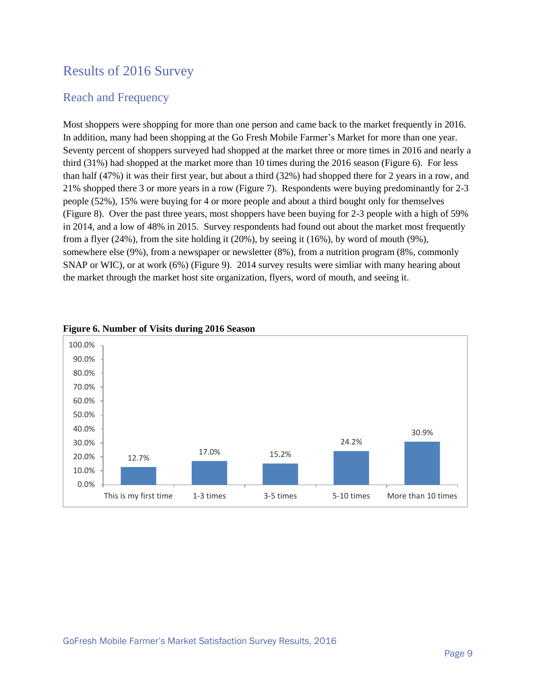## <span id="page-8-0"></span>Results of 2016 Survey

#### <span id="page-8-1"></span>Reach and Frequency

Most shoppers were shopping for more than one person and came back to the market frequently in 2016. In addition, many had been shopping at the Go Fresh Mobile Farmer's Market for more than one year. Seventy percent of shoppers surveyed had shopped at the market three or more times in 2016 and nearly a third (31%) had shopped at the market more than 10 times during the 2016 season (Figure 6). For less than half (47%) it was their first year, but about a third (32%) had shopped there for 2 years in a row, and 21% shopped there 3 or more years in a row (Figure 7). Respondents were buying predominantly for 2-3 people (52%), 15% were buying for 4 or more people and about a third bought only for themselves (Figure 8). Over the past three years, most shoppers have been buying for 2-3 people with a high of 59% in 2014, and a low of 48% in 2015. Survey respondents had found out about the market most frequently from a flyer (24%), from the site holding it (20%), by seeing it (16%), by word of mouth (9%), somewhere else (9%), from a newspaper or newsletter (8%), from a nutrition program (8%, commonly SNAP or WIC), or at work (6%) (Figure 9). 2014 survey results were simliar with many hearing about the market through the market host site organization, flyers, word of mouth, and seeing it.



#### **Figure 6. Number of Visits during 2016 Season**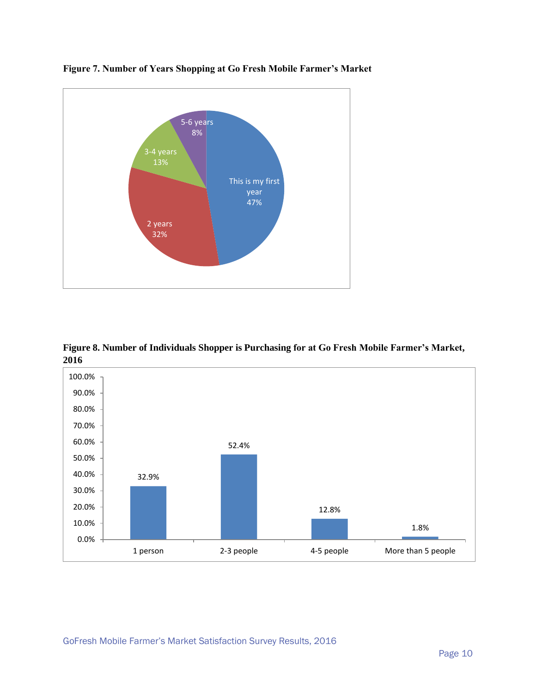





**Figure 8. Number of Individuals Shopper is Purchasing for at Go Fresh Mobile Farmer's Market, 2016**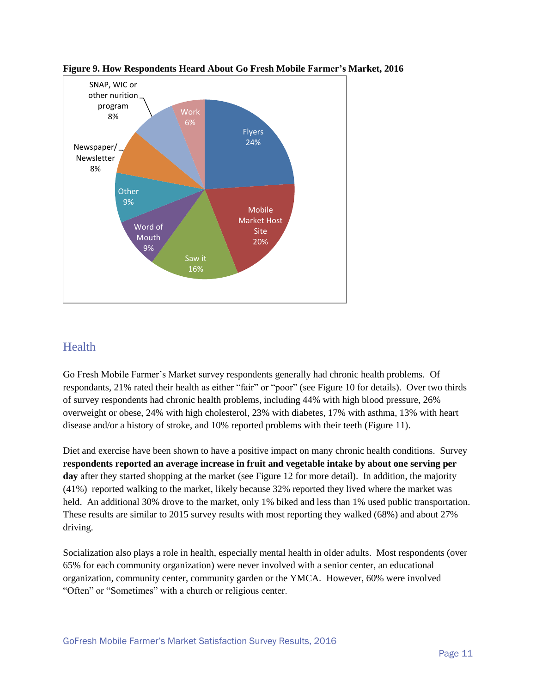

**Figure 9. How Respondents Heard About Go Fresh Mobile Farmer's Market, 2016**

#### <span id="page-10-0"></span>Health

Go Fresh Mobile Farmer's Market survey respondents generally had chronic health problems. Of respondants, 21% rated their health as either "fair" or "poor" (see Figure 10 for details). Over two thirds of survey respondents had chronic health problems, including 44% with high blood pressure, 26% overweight or obese, 24% with high cholesterol, 23% with diabetes, 17% with asthma, 13% with heart disease and/or a history of stroke, and 10% reported problems with their teeth (Figure 11).

Diet and exercise have been shown to have a positive impact on many chronic health conditions. Survey **respondents reported an average increase in fruit and vegetable intake by about one serving per**  day after they started shopping at the market (see Figure 12 for more detail). In addition, the majority (41%) reported walking to the market, likely because 32% reported they lived where the market was held. An additional 30% drove to the market, only 1% biked and less than 1% used public transportation. These results are similar to 2015 survey results with most reporting they walked (68%) and about 27% driving.

Socialization also plays a role in health, especially mental health in older adults. Most respondents (over 65% for each community organization) were never involved with a senior center, an educational organization, community center, community garden or the YMCA. However, 60% were involved "Often" or "Sometimes" with a church or religious center.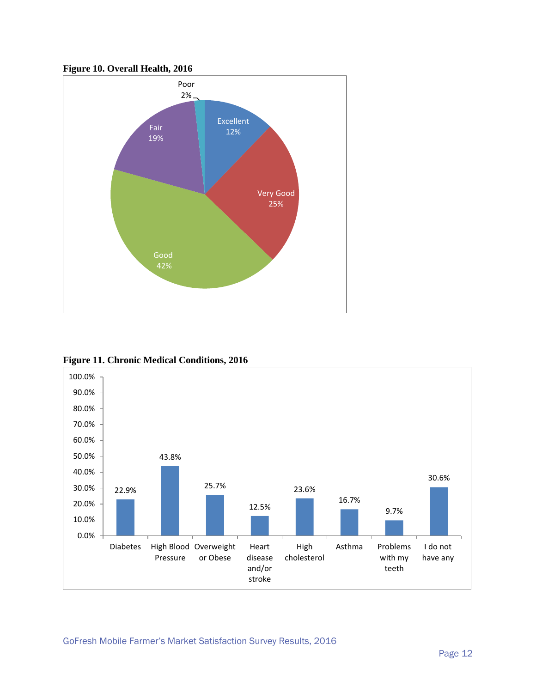



**Figure 11. Chronic Medical Conditions, 2016**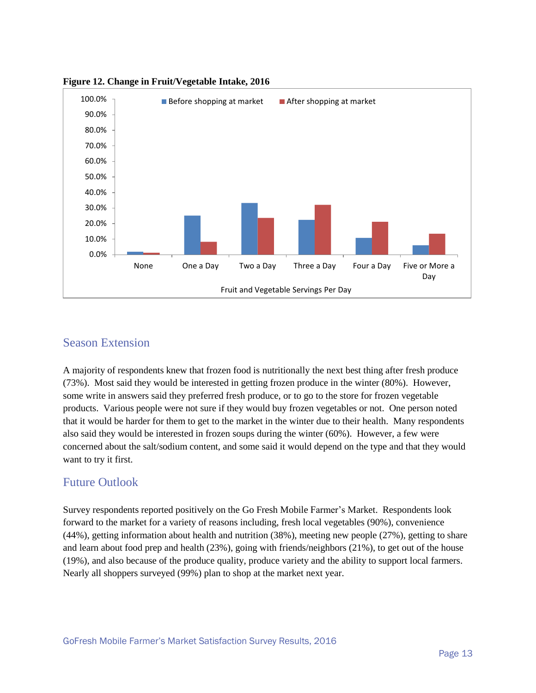

**Figure 12. Change in Fruit/Vegetable Intake, 2016**

#### <span id="page-12-0"></span>Season Extension

A majority of respondents knew that frozen food is nutritionally the next best thing after fresh produce (73%). Most said they would be interested in getting frozen produce in the winter (80%). However, some write in answers said they preferred fresh produce, or to go to the store for frozen vegetable products. Various people were not sure if they would buy frozen vegetables or not. One person noted that it would be harder for them to get to the market in the winter due to their health. Many respondents also said they would be interested in frozen soups during the winter (60%). However, a few were concerned about the salt/sodium content, and some said it would depend on the type and that they would want to try it first.

#### <span id="page-12-1"></span>Future Outlook

Survey respondents reported positively on the Go Fresh Mobile Farmer's Market. Respondents look forward to the market for a variety of reasons including, fresh local vegetables (90%), convenience (44%), getting information about health and nutrition (38%), meeting new people (27%), getting to share and learn about food prep and health (23%), going with friends/neighbors (21%), to get out of the house (19%), and also because of the produce quality, produce variety and the ability to support local farmers. Nearly all shoppers surveyed (99%) plan to shop at the market next year.